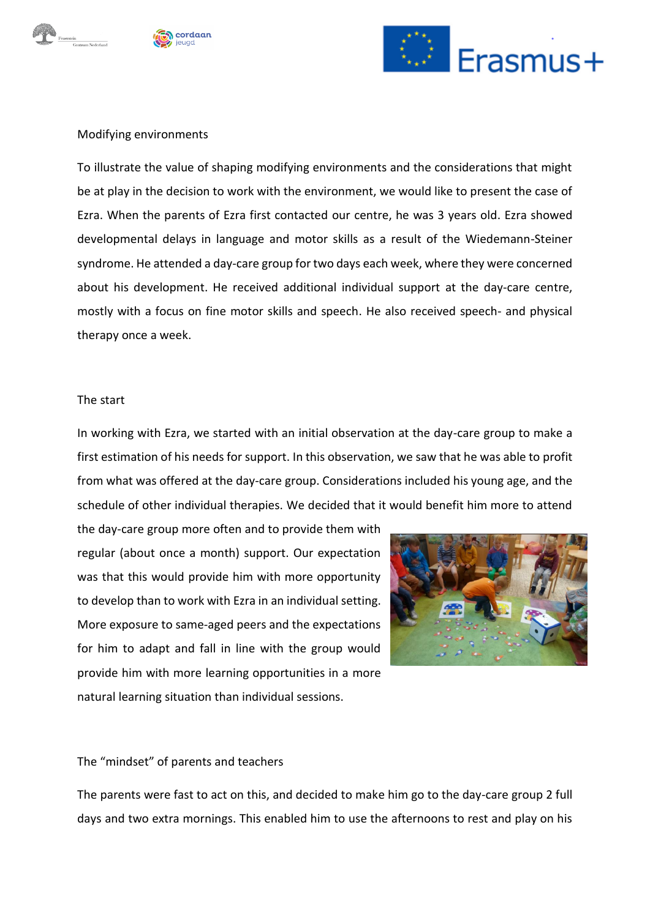





# Modifying environments

To illustrate the value of shaping modifying environments and the considerations that might be at play in the decision to work with the environment, we would like to present the case of Ezra. When the parents of Ezra first contacted our centre, he was 3 years old. Ezra showed developmental delays in language and motor skills as a result of the Wiedemann-Steiner syndrome. He attended a day-care group for two days each week, where they were concerned about his development. He received additional individual support at the day-care centre, mostly with a focus on fine motor skills and speech. He also received speech- and physical therapy once a week.

#### The start

In working with Ezra, we started with an initial observation at the day-care group to make a first estimation of his needs for support. In this observation, we saw that he was able to profit from what was offered at the day-care group. Considerations included his young age, and the schedule of other individual therapies. We decided that it would benefit him more to attend

the day-care group more often and to provide them with regular (about once a month) support. Our expectation was that this would provide him with more opportunity to develop than to work with Ezra in an individual setting. More exposure to same-aged peers and the expectations for him to adapt and fall in line with the group would provide him with more learning opportunities in a more natural learning situation than individual sessions.



## The "mindset" of parents and teachers

The parents were fast to act on this, and decided to make him go to the day-care group 2 full days and two extra mornings. This enabled him to use the afternoons to rest and play on his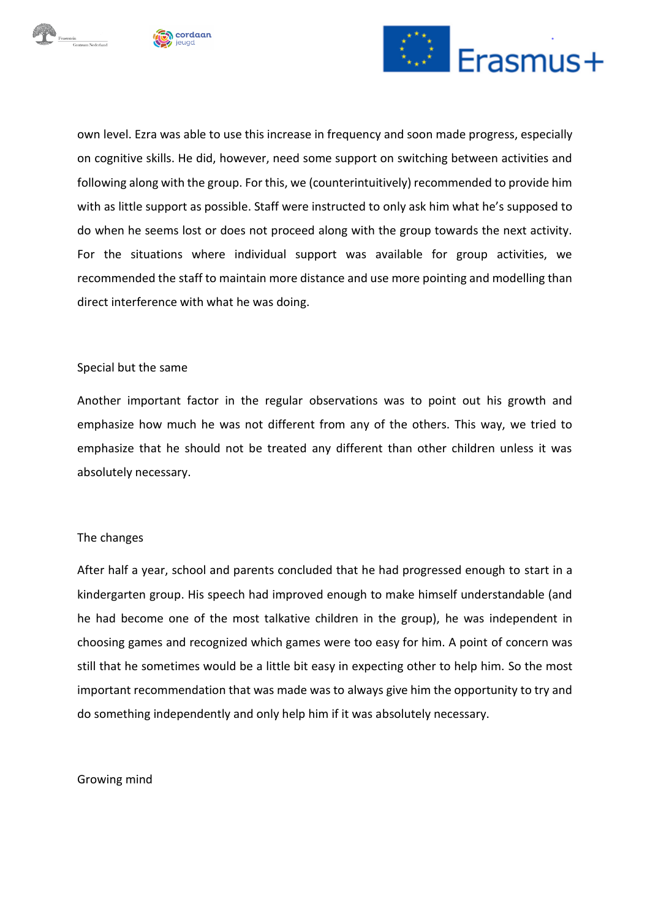





own level. Ezra was able to use this increase in frequency and soon made progress, especially on cognitive skills. He did, however, need some support on switching between activities and following along with the group. For this, we (counterintuitively) recommended to provide him with as little support as possible. Staff were instructed to only ask him what he's supposed to do when he seems lost or does not proceed along with the group towards the next activity. For the situations where individual support was available for group activities, we recommended the staff to maintain more distance and use more pointing and modelling than direct interference with what he was doing.

# Special but the same

Another important factor in the regular observations was to point out his growth and emphasize how much he was not different from any of the others. This way, we tried to emphasize that he should not be treated any different than other children unless it was absolutely necessary.

# The changes

After half a year, school and parents concluded that he had progressed enough to start in a kindergarten group. His speech had improved enough to make himself understandable (and he had become one of the most talkative children in the group), he was independent in choosing games and recognized which games were too easy for him. A point of concern was still that he sometimes would be a little bit easy in expecting other to help him. So the most important recommendation that was made was to always give him the opportunity to try and do something independently and only help him if it was absolutely necessary.

## Growing mind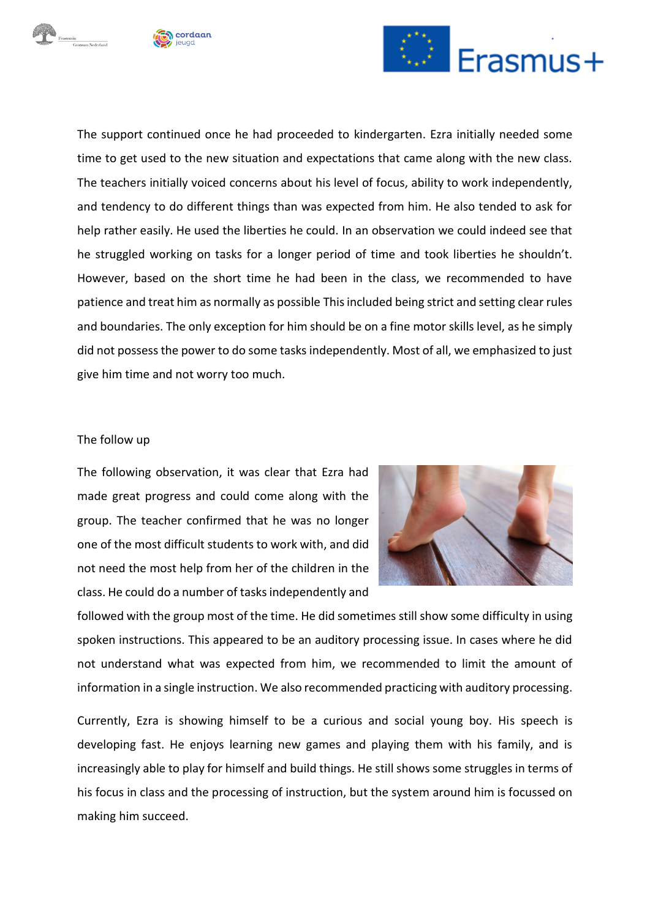





The support continued once he had proceeded to kindergarten. Ezra initially needed some time to get used to the new situation and expectations that came along with the new class. The teachers initially voiced concerns about his level of focus, ability to work independently, and tendency to do different things than was expected from him. He also tended to ask for help rather easily. He used the liberties he could. In an observation we could indeed see that he struggled working on tasks for a longer period of time and took liberties he shouldn't. However, based on the short time he had been in the class, we recommended to have patience and treat him as normally as possible This included being strict and setting clear rules and boundaries. The only exception for him should be on a fine motor skills level, as he simply did not possess the power to do some tasks independently. Most of all, we emphasized to just give him time and not worry too much.

# The follow up

The following observation, it was clear that Ezra had made great progress and could come along with the group. The teacher confirmed that he was no longer one of the most difficult students to work with, and did not need the most help from her of the children in the class. He could do a number of tasks independently and



followed with the group most of the time. He did sometimes still show some difficulty in using spoken instructions. This appeared to be an auditory processing issue. In cases where he did not understand what was expected from him, we recommended to limit the amount of information in a single instruction. We also recommended practicing with auditory processing.

Currently, Ezra is showing himself to be a curious and social young boy. His speech is developing fast. He enjoys learning new games and playing them with his family, and is increasingly able to play for himself and build things. He still shows some struggles in terms of his focus in class and the processing of instruction, but the system around him is focussed on making him succeed.